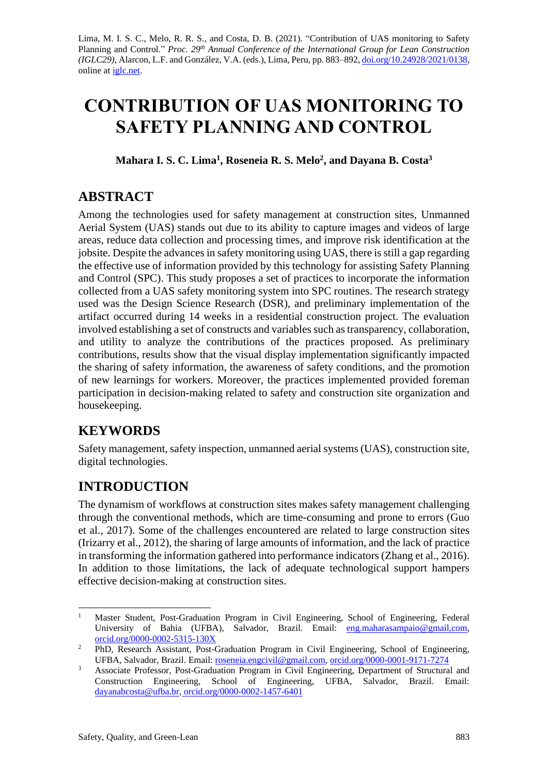Lima, M. I. S. C., Melo, R. R. S., and Costa, D. B. (2021). "Contribution of UAS monitoring to Safety Planning and Control." *Proc. 29<sup>th</sup> Annual Conference of the International Group for Lean Construction (IGLC29),* Alarcon, L.F. and González, V.A. (eds.)*,* Lima, Peru, pp. 883–892, [doi.org/10.24928/2021/0138,](https://doi.org/10.24928/2021/0138) online at *iglc.net*.

# **CONTRIBUTION OF UAS MONITORING TO SAFETY PLANNING AND CONTROL**

**Mahara I. S. C. Lima<sup>1</sup> , Roseneia R. S. Melo<sup>2</sup> , and Dayana B. Costa<sup>3</sup>**

## **ABSTRACT**

Among the technologies used for safety management at construction sites, Unmanned Aerial System (UAS) stands out due to its ability to capture images and videos of large areas, reduce data collection and processing times, and improve risk identification at the jobsite. Despite the advances in safety monitoring using UAS, there is still a gap regarding the effective use of information provided by this technology for assisting Safety Planning and Control (SPC). This study proposes a set of practices to incorporate the information collected from a UAS safety monitoring system into SPC routines. The research strategy used was the Design Science Research (DSR), and preliminary implementation of the artifact occurred during 14 weeks in a residential construction project. The evaluation involved establishing a set of constructs and variables such as transparency, collaboration, and utility to analyze the contributions of the practices proposed. As preliminary contributions, results show that the visual display implementation significantly impacted the sharing of safety information, the awareness of safety conditions, and the promotion of new learnings for workers. Moreover, the practices implemented provided foreman participation in decision-making related to safety and construction site organization and housekeeping.

# **KEYWORDS**

Safety management, safety inspection, unmanned aerial systems(UAS), construction site, digital technologies.

# **INTRODUCTION**

The dynamism of workflows at construction sites makes safety management challenging through the conventional methods, which are time-consuming and prone to errors (Guo et al., 2017). Some of the challenges encountered are related to large construction sites (Irizarry et al., 2012), the sharing of large amounts of information, and the lack of practice in transforming the information gathered into performance indicators (Zhang et al., 2016). In addition to those limitations, the lack of adequate technological support hampers effective decision-making at construction sites.

<sup>&</sup>lt;sup>1</sup> Master Student, Post-Graduation Program in Civil Engineering, School of Engineering, Federal University of Bahia (UFBA), Salvador, Brazil. Email: eng.maharasampaio@gmail.com, [orcid.org/0000-0002-5315-130X](https://orcid.org/0000-0002-5315-130X)

<sup>&</sup>lt;sup>2</sup> PhD, Research Assistant, Post-Graduation Program in Civil Engineering, School of Engineering, UFBA, Salvador, Brazil. Email: [roseneia.engcivil@gmail.com,](mailto:roseneia.engcivil@gmail.com) [orcid.org/0000-0001-9171-7274](https://orcid.org/0000-0001-9171-7274)

<sup>&</sup>lt;sup>3</sup> Associate Professor, Post-Graduation Program in Civil Engineering, Department of Structural and Construction Engineering, School of Engineering, UFBA, Salvador, Brazil. Email: [dayanabcosta@ufba.br,](mailto:dayanabcosta@ufba.br) [orcid.org/0000-0002-1457-6401](https://orcid.org/0000-0002-1457-6401)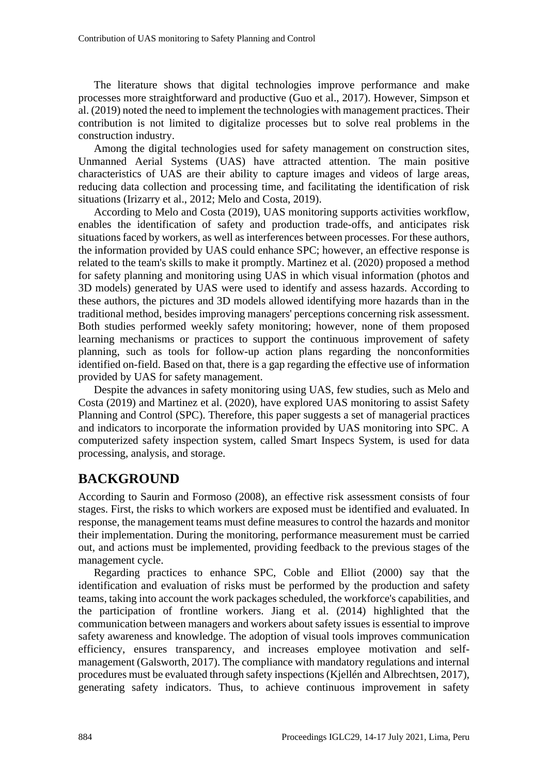The literature shows that digital technologies improve performance and make processes more straightforward and productive (Guo et al., 2017). However, Simpson et al. (2019) noted the need to implement the technologies with management practices. Their contribution is not limited to digitalize processes but to solve real problems in the construction industry.

Among the digital technologies used for safety management on construction sites, Unmanned Aerial Systems (UAS) have attracted attention. The main positive characteristics of UAS are their ability to capture images and videos of large areas, reducing data collection and processing time, and facilitating the identification of risk situations (Irizarry et al., 2012; Melo and Costa, 2019).

According to Melo and Costa (2019), UAS monitoring supports activities workflow, enables the identification of safety and production trade-offs, and anticipates risk situations faced by workers, as well as interferences between processes. For these authors, the information provided by UAS could enhance SPC; however, an effective response is related to the team's skills to make it promptly. Martinez et al. (2020) proposed a method for safety planning and monitoring using UAS in which visual information (photos and 3D models) generated by UAS were used to identify and assess hazards. According to these authors, the pictures and 3D models allowed identifying more hazards than in the traditional method, besides improving managers' perceptions concerning risk assessment. Both studies performed weekly safety monitoring; however, none of them proposed learning mechanisms or practices to support the continuous improvement of safety planning, such as tools for follow-up action plans regarding the nonconformities identified on-field. Based on that, there is a gap regarding the effective use of information provided by UAS for safety management.

Despite the advances in safety monitoring using UAS, few studies, such as Melo and Costa (2019) and Martinez et al. (2020), have explored UAS monitoring to assist Safety Planning and Control (SPC). Therefore, this paper suggests a set of managerial practices and indicators to incorporate the information provided by UAS monitoring into SPC. A computerized safety inspection system, called Smart Inspecs System, is used for data processing, analysis, and storage.

### **BACKGROUND**

According to Saurin and Formoso (2008), an effective risk assessment consists of four stages. First, the risks to which workers are exposed must be identified and evaluated. In response, the management teams must define measures to control the hazards and monitor their implementation. During the monitoring, performance measurement must be carried out, and actions must be implemented, providing feedback to the previous stages of the management cycle.

Regarding practices to enhance SPC, Coble and Elliot (2000) say that the identification and evaluation of risks must be performed by the production and safety teams, taking into account the work packages scheduled, the workforce's capabilities, and the participation of frontline workers. Jiang et al. (2014) highlighted that the communication between managers and workers about safety issues is essential to improve safety awareness and knowledge. The adoption of visual tools improves communication efficiency, ensures transparency, and increases employee motivation and selfmanagement (Galsworth, 2017). The compliance with mandatory regulations and internal procedures must be evaluated through safety inspections (Kjellén and Albrechtsen, 2017), generating safety indicators. Thus, to achieve continuous improvement in safety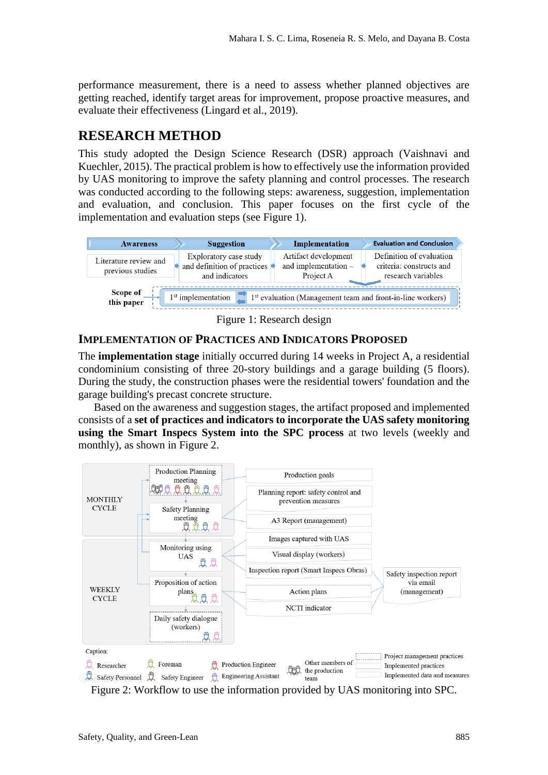performance measurement, there is a need to assess whether planned objectives are getting reached, identify target areas for improvement, propose proactive measures, and evaluate their effectiveness (Lingard et al., 2019).

### **RESEARCH METHOD**

This study adopted the Design Science Research (DSR) approach (Vaishnavi and Kuechler, 2015). The practical problem is how to effectively use the information provided by UAS monitoring to improve the safety planning and control processes. The research was conducted according to the following steps: awareness, suggestion, implementation and evaluation, and conclusion. This paper focuses on the first cycle of the implementation and evaluation steps (see Figure 1).



Figure 1: Research design

#### **IMPLEMENTATION OF PRACTICES AND INDICATORS PROPOSED**

The **implementation stage** initially occurred during 14 weeks in Project A, a residential condominium consisting of three 20-story buildings and a garage building (5 floors). During the study, the construction phases were the residential towers' foundation and the garage building's precast concrete structure.

Based on the awareness and suggestion stages, the artifact proposed and implemented consists of a **set of practices and indicators to incorporate the UAS safety monitoring using the Smart Inspecs System into the SPC process** at two levels (weekly and monthly), as shown in Figure 2.

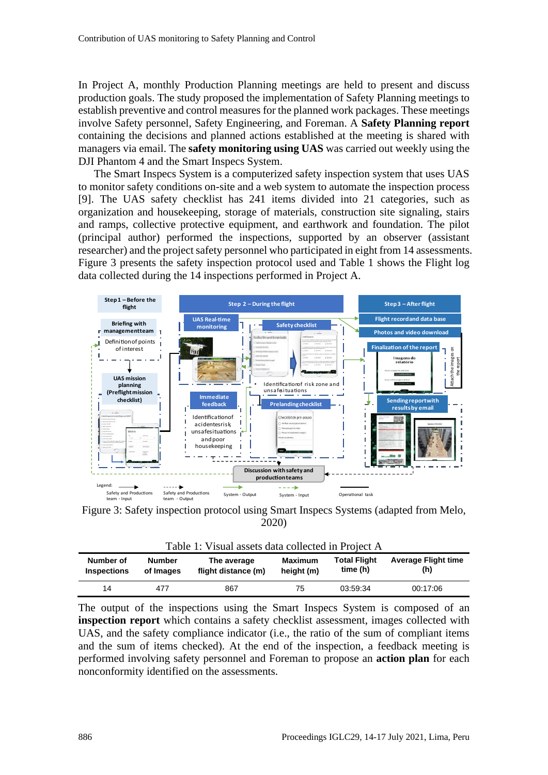In Project A, monthly Production Planning meetings are held to present and discuss production goals. The study proposed the implementation of Safety Planning meetings to establish preventive and control measures for the planned work packages. These meetings involve Safety personnel, Safety Engineering, and Foreman. A **Safety Planning report** containing the decisions and planned actions established at the meeting is shared with managers via email. The **safety monitoring using UAS** was carried out weekly using the DJI Phantom 4 and the Smart Inspecs System.

The Smart Inspecs System is a computerized safety inspection system that uses UAS to monitor safety conditions on-site and a web system to automate the inspection process [9]. The UAS safety checklist has 241 items divided into 21 categories, such as organization and housekeeping, storage of materials, construction site signaling, stairs and ramps, collective protective equipment, and earthwork and foundation. The pilot (principal author) performed the inspections, supported by an observer (assistant researcher) and the project safety personnel who participated in eight from 14 assessments. Figure 3 presents the safety inspection protocol used and Table 1 shows the Flight log data collected during the 14 inspections performed in Project A.



Figure 3: Safety inspection protocol using Smart Inspecs Systems (adapted from Melo, 2020)

 $T_1$  1:  $\overline{Y}$  1:  $\overline{Y}$  1:  $\overline{Y}$  1:  $\overline{Y}$  1:  $\overline{Y}$  1:  $\overline{Y}$ 

| Table 1: Visual assets data collected in Project A |                                                                  |     |                       |                                 |                                   |  |  |  |  |
|----------------------------------------------------|------------------------------------------------------------------|-----|-----------------------|---------------------------------|-----------------------------------|--|--|--|--|
| Number of<br><b>Inspections</b>                    | <b>Number</b><br>The average<br>flight distance (m)<br>of Images |     | Maximum<br>height (m) | <b>Total Flight</b><br>time (h) | <b>Average Flight time</b><br>(h) |  |  |  |  |
| 14                                                 | 477                                                              | 867 | 75                    | 03:59:34                        | 00:17:06                          |  |  |  |  |

The output of the inspections using the Smart Inspecs System is composed of an **inspection report** which contains a safety checklist assessment, images collected with UAS, and the safety compliance indicator (i.e., the ratio of the sum of compliant items and the sum of items checked). At the end of the inspection, a feedback meeting is performed involving safety personnel and Foreman to propose an **action plan** for each nonconformity identified on the assessments.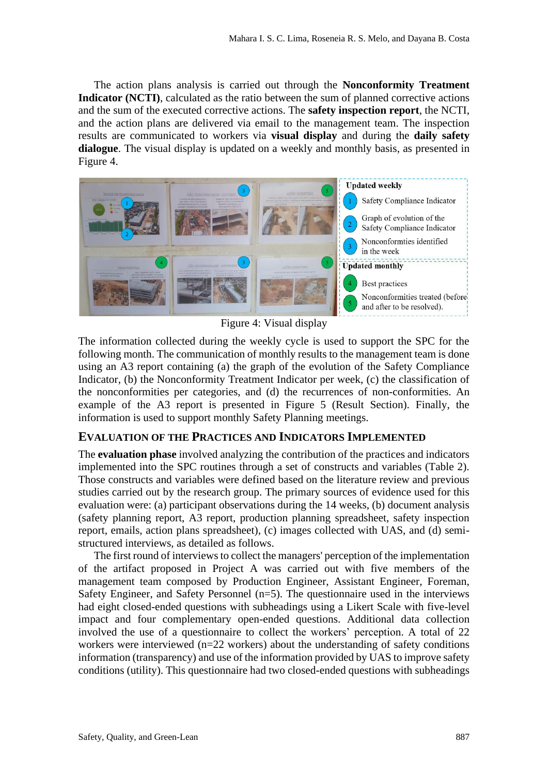The action plans analysis is carried out through the **Nonconformity Treatment Indicator (NCTI)**, calculated as the ratio between the sum of planned corrective actions and the sum of the executed corrective actions. The **safety inspection report**, the NCTI, and the action plans are delivered via email to the management team. The inspection results are communicated to workers via **visual display** and during the **daily safety dialogue**. The visual display is updated on a weekly and monthly basis, as presented in Figure 4.



Figure 4: Visual display

The information collected during the weekly cycle is used to support the SPC for the following month. The communication of monthly results to the management team is done using an A3 report containing (a) the graph of the evolution of the Safety Compliance Indicator, (b) the Nonconformity Treatment Indicator per week, (c) the classification of the nonconformities per categories, and (d) the recurrences of non-conformities. An example of the A3 report is presented in Figure 5 (Result Section). Finally, the information is used to support monthly Safety Planning meetings.

#### **EVALUATION OF THE PRACTICES AND INDICATORS IMPLEMENTED**

The **evaluation phase** involved analyzing the contribution of the practices and indicators implemented into the SPC routines through a set of constructs and variables (Table 2). Those constructs and variables were defined based on the literature review and previous studies carried out by the research group. The primary sources of evidence used for this evaluation were: (a) participant observations during the 14 weeks, (b) document analysis (safety planning report, A3 report, production planning spreadsheet, safety inspection report, emails, action plans spreadsheet), (c) images collected with UAS, and (d) semistructured interviews, as detailed as follows.

The first round of interviews to collect the managers' perception of the implementation of the artifact proposed in Project A was carried out with five members of the management team composed by Production Engineer, Assistant Engineer, Foreman, Safety Engineer, and Safety Personnel  $(n=5)$ . The questionnaire used in the interviews had eight closed-ended questions with subheadings using a Likert Scale with five-level impact and four complementary open-ended questions. Additional data collection involved the use of a questionnaire to collect the workers' perception. A total of 22 workers were interviewed (n=22 workers) about the understanding of safety conditions information (transparency) and use of the information provided by UAS to improve safety conditions (utility). This questionnaire had two closed-ended questions with subheadings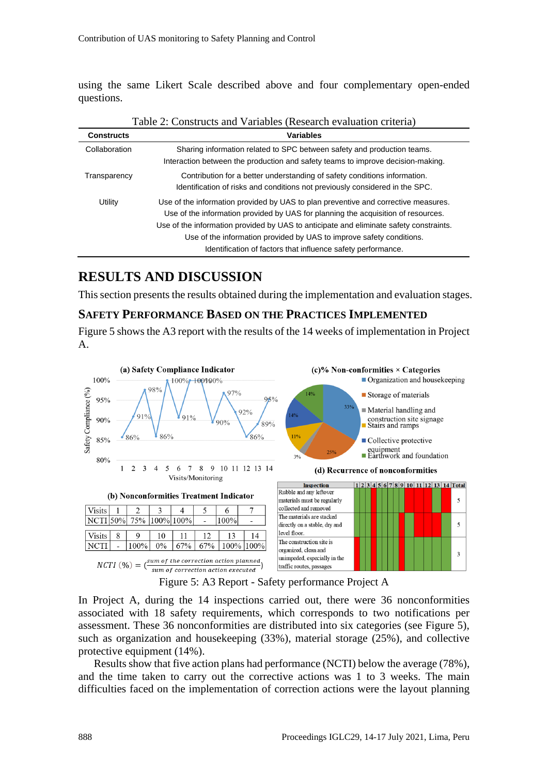using the same Likert Scale described above and four complementary open-ended questions.

| Taolo 2. Constructs and Variables (Research Cyanaanon Criteria) |                                                                                                                                                                                                                                                                                                                                                                                                           |  |  |  |  |  |
|-----------------------------------------------------------------|-----------------------------------------------------------------------------------------------------------------------------------------------------------------------------------------------------------------------------------------------------------------------------------------------------------------------------------------------------------------------------------------------------------|--|--|--|--|--|
| <b>Constructs</b>                                               | <b>Variables</b>                                                                                                                                                                                                                                                                                                                                                                                          |  |  |  |  |  |
| Collaboration                                                   | Sharing information related to SPC between safety and production teams.<br>Interaction between the production and safety teams to improve decision-making.                                                                                                                                                                                                                                                |  |  |  |  |  |
| Transparency                                                    | Contribution for a better understanding of safety conditions information.<br>Identification of risks and conditions not previously considered in the SPC.                                                                                                                                                                                                                                                 |  |  |  |  |  |
| Utility                                                         | Use of the information provided by UAS to plan preventive and corrective measures.<br>Use of the information provided by UAS for planning the acquisition of resources.<br>Use of the information provided by UAS to anticipate and eliminate safety constraints.<br>Use of the information provided by UAS to improve safety conditions.<br>Identification of factors that influence safety performance. |  |  |  |  |  |

#### Table 2: Constructs and Variables (Research evaluation criteria)

### **RESULTS AND DISCUSSION**

This section presents the results obtained during the implementation and evaluation stages.

#### **SAFETY PERFORMANCE BASED ON THE PRACTICES IMPLEMENTED**

Figure 5 shows the A3 report with the results of the 14 weeks of implementation in Project A.



Figure 5: A3 Report - Safety performance Project A

In Project A, during the 14 inspections carried out, there were 36 nonconformities associated with 18 safety requirements, which corresponds to two notifications per assessment. These 36 nonconformities are distributed into six categories (see Figure 5), such as organization and housekeeping (33%), material storage (25%), and collective protective equipment (14%).

Results show that five action plans had performance (NCTI) below the average (78%), and the time taken to carry out the corrective actions was 1 to 3 weeks. The main difficulties faced on the implementation of correction actions were the layout planning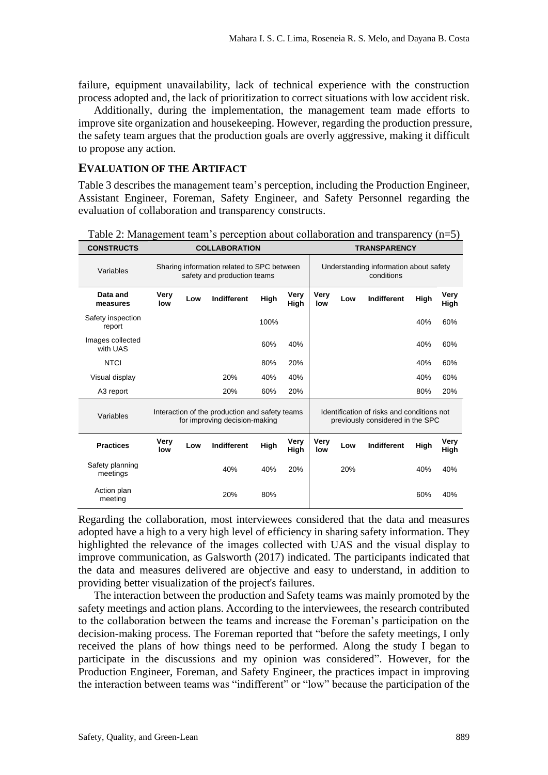failure, equipment unavailability, lack of technical experience with the construction process adopted and, the lack of prioritization to correct situations with low accident risk.

Additionally, during the implementation, the management team made efforts to improve site organization and housekeeping. However, regarding the production pressure, the safety team argues that the production goals are overly aggressive, making it difficult to propose any action.

#### **EVALUATION OF THE ARTIFACT**

Table 3 describes the management team's perception, including the Production Engineer, Assistant Engineer, Foreman, Safety Engineer, and Safety Personnel regarding the evaluation of collaboration and transparency constructs.

| <b>CONSTRUCTS</b>            | <b>COLLABORATION</b>                                                            |     |                    |             |              | <b>TRANSPARENCY</b>                                                            |     |             |      |              |
|------------------------------|---------------------------------------------------------------------------------|-----|--------------------|-------------|--------------|--------------------------------------------------------------------------------|-----|-------------|------|--------------|
| Variables                    | Sharing information related to SPC between<br>safety and production teams       |     |                    |             |              | Understanding information about safety<br>conditions                           |     |             |      |              |
| Data and<br>measures         | Very<br>low                                                                     | Low | Indifferent        | High        | Very<br>High | Very<br>low                                                                    | Low | Indifferent | High | Very<br>High |
| Safety inspection<br>report  |                                                                                 |     |                    | 100%        |              |                                                                                |     |             | 40%  | 60%          |
| Images collected<br>with UAS |                                                                                 |     |                    | 60%         | 40%          |                                                                                |     |             | 40%  | 60%          |
| <b>NTCI</b>                  |                                                                                 |     |                    | 80%         | 20%          |                                                                                |     |             | 40%  | 60%          |
| Visual display               |                                                                                 |     | 20%                | 40%         | 40%          |                                                                                |     |             | 40%  | 60%          |
| A3 report                    |                                                                                 |     | 20%                | 60%         | 20%          |                                                                                |     |             | 80%  | 20%          |
| Variables                    | Interaction of the production and safety teams<br>for improving decision-making |     |                    |             |              | Identification of risks and conditions not<br>previously considered in the SPC |     |             |      |              |
| <b>Practices</b>             | Very<br>low                                                                     | Low | <b>Indifferent</b> | <b>High</b> | Very<br>High | Very<br>low                                                                    | Low | Indifferent | High | Very<br>High |
| Safety planning<br>meetings  |                                                                                 |     | 40%                | 40%         | 20%          |                                                                                | 20% |             | 40%  | 40%          |
| Action plan<br>meeting       |                                                                                 |     | 20%                | 80%         |              |                                                                                |     |             | 60%  | 40%          |

Table 2: Management team's perception about collaboration and transparency (n=5)

Regarding the collaboration, most interviewees considered that the data and measures adopted have a high to a very high level of efficiency in sharing safety information. They highlighted the relevance of the images collected with UAS and the visual display to improve communication, as Galsworth (2017) indicated. The participants indicated that the data and measures delivered are objective and easy to understand, in addition to providing better visualization of the project's failures.

The interaction between the production and Safety teams was mainly promoted by the safety meetings and action plans. According to the interviewees, the research contributed to the collaboration between the teams and increase the Foreman's participation on the decision-making process. The Foreman reported that "before the safety meetings, I only received the plans of how things need to be performed. Along the study I began to participate in the discussions and my opinion was considered". However, for the Production Engineer, Foreman, and Safety Engineer, the practices impact in improving the interaction between teams was "indifferent" or "low" because the participation of the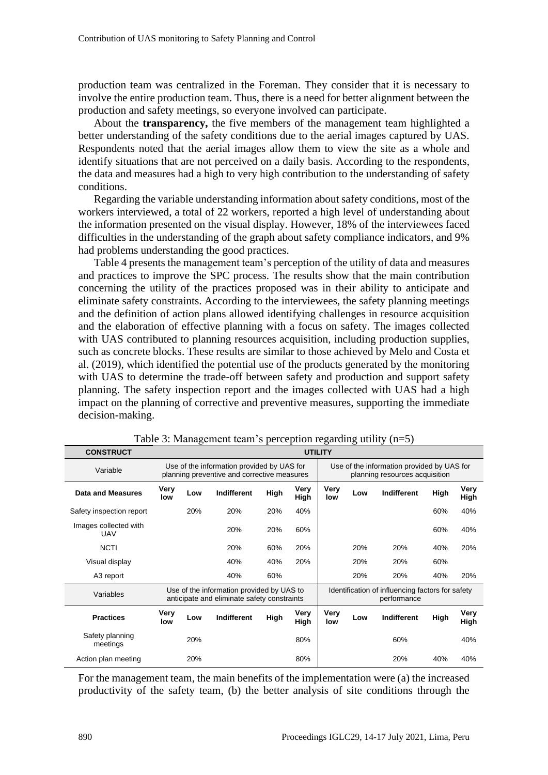production team was centralized in the Foreman. They consider that it is necessary to involve the entire production team. Thus, there is a need for better alignment between the production and safety meetings, so everyone involved can participate.

About the **transparency,** the five members of the management team highlighted a better understanding of the safety conditions due to the aerial images captured by UAS. Respondents noted that the aerial images allow them to view the site as a whole and identify situations that are not perceived on a daily basis. According to the respondents, the data and measures had a high to very high contribution to the understanding of safety conditions.

Regarding the variable understanding information about safety conditions, most of the workers interviewed, a total of 22 workers, reported a high level of understanding about the information presented on the visual display. However, 18% of the interviewees faced difficulties in the understanding of the graph about safety compliance indicators, and 9% had problems understanding the good practices.

Table 4 presents the management team's perception of the utility of data and measures and practices to improve the SPC process. The results show that the main contribution concerning the utility of the practices proposed was in their ability to anticipate and eliminate safety constraints. According to the interviewees, the safety planning meetings and the definition of action plans allowed identifying challenges in resource acquisition and the elaboration of effective planning with a focus on safety. The images collected with UAS contributed to planning resources acquisition, including production supplies, such as concrete blocks. These results are similar to those achieved by Melo and Costa et al. (2019), which identified the potential use of the products generated by the monitoring with UAS to determine the trade-off between safety and production and support safety planning. The safety inspection report and the images collected with UAS had a high impact on the planning of corrective and preventive measures, supporting the immediate decision-making.

| <b>CONSTRUCT</b>                    | <b>UTILITY</b>                                                                                                                                                            |     |                    |      |              |                    |     |                    |      |              |
|-------------------------------------|---------------------------------------------------------------------------------------------------------------------------------------------------------------------------|-----|--------------------|------|--------------|--------------------|-----|--------------------|------|--------------|
| Variable                            | Use of the information provided by UAS for<br>Use of the information provided by UAS for<br>planning preventive and corrective measures<br>planning resources acquisition |     |                    |      |              |                    |     |                    |      |              |
| <b>Data and Measures</b>            | Very<br>low                                                                                                                                                               | Low | <b>Indifferent</b> | High | Very<br>High | <b>Very</b><br>low | Low | Indifferent        | High | Very<br>High |
| Safety inspection report            |                                                                                                                                                                           | 20% | 20%                | 20%  | 40%          |                    |     |                    | 60%  | 40%          |
| Images collected with<br><b>UAV</b> |                                                                                                                                                                           |     | 20%                | 20%  | 60%          |                    |     |                    | 60%  | 40%          |
| <b>NCTI</b>                         |                                                                                                                                                                           |     | 20%                | 60%  | 20%          |                    | 20% | 20%                | 40%  | 20%          |
| Visual display                      |                                                                                                                                                                           |     | 40%                | 40%  | 20%          |                    | 20% | 20%                | 60%  |              |
| A3 report                           |                                                                                                                                                                           |     | 40%                | 60%  |              |                    | 20% | 20%                | 40%  | 20%          |
| Variables                           | Use of the information provided by UAS to<br>Identification of influencing factors for safety<br>anticipate and eliminate safety constraints<br>performance               |     |                    |      |              |                    |     |                    |      |              |
| <b>Practices</b>                    | Very<br>low                                                                                                                                                               | Low | Indifferent        | High | Very<br>High | Very<br>low        | Low | <b>Indifferent</b> | High | Very<br>High |
| Safety planning<br>meetings         |                                                                                                                                                                           | 20% |                    |      | 80%          |                    |     | 60%                |      | 40%          |
| Action plan meeting                 |                                                                                                                                                                           | 20% |                    |      | 80%          |                    |     | 20%                | 40%  | 40%          |

| Table 3: Management team's perception regarding utility $(n=5)$ |  |  |  |  |
|-----------------------------------------------------------------|--|--|--|--|
|-----------------------------------------------------------------|--|--|--|--|

For the management team, the main benefits of the implementation were (a) the increased productivity of the safety team, (b) the better analysis of site conditions through the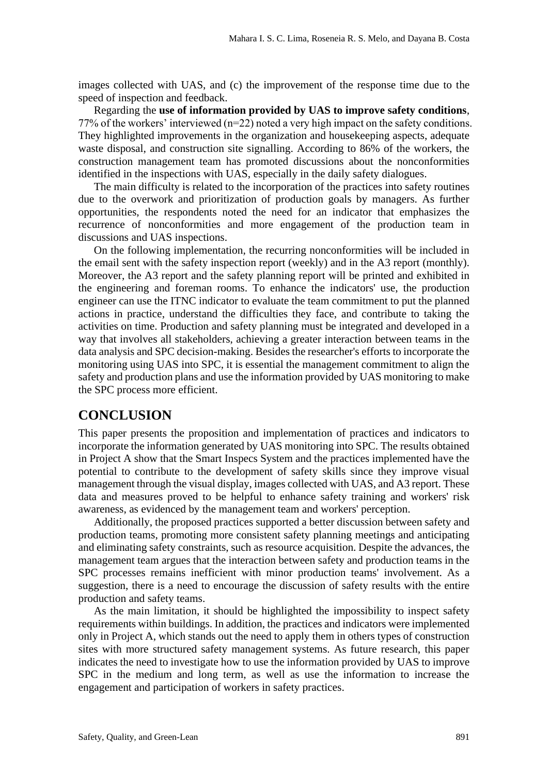images collected with UAS, and (c) the improvement of the response time due to the speed of inspection and feedback.

Regarding the **use of information provided by UAS to improve safety conditions**, 77% of the workers' interviewed (n=22) noted a very high impact on the safety conditions. They highlighted improvements in the organization and housekeeping aspects, adequate waste disposal, and construction site signalling. According to 86% of the workers, the construction management team has promoted discussions about the nonconformities identified in the inspections with UAS, especially in the daily safety dialogues.

The main difficulty is related to the incorporation of the practices into safety routines due to the overwork and prioritization of production goals by managers. As further opportunities, the respondents noted the need for an indicator that emphasizes the recurrence of nonconformities and more engagement of the production team in discussions and UAS inspections.

On the following implementation, the recurring nonconformities will be included in the email sent with the safety inspection report (weekly) and in the A3 report (monthly). Moreover, the A3 report and the safety planning report will be printed and exhibited in the engineering and foreman rooms. To enhance the indicators' use, the production engineer can use the ITNC indicator to evaluate the team commitment to put the planned actions in practice, understand the difficulties they face, and contribute to taking the activities on time. Production and safety planning must be integrated and developed in a way that involves all stakeholders, achieving a greater interaction between teams in the data analysis and SPC decision-making. Besides the researcher's efforts to incorporate the monitoring using UAS into SPC, it is essential the management commitment to align the safety and production plans and use the information provided by UAS monitoring to make the SPC process more efficient.

#### **CONCLUSION**

This paper presents the proposition and implementation of practices and indicators to incorporate the information generated by UAS monitoring into SPC. The results obtained in Project A show that the Smart Inspecs System and the practices implemented have the potential to contribute to the development of safety skills since they improve visual management through the visual display, images collected with UAS, and A3 report. These data and measures proved to be helpful to enhance safety training and workers' risk awareness, as evidenced by the management team and workers' perception.

Additionally, the proposed practices supported a better discussion between safety and production teams, promoting more consistent safety planning meetings and anticipating and eliminating safety constraints, such as resource acquisition. Despite the advances, the management team argues that the interaction between safety and production teams in the SPC processes remains inefficient with minor production teams' involvement. As a suggestion, there is a need to encourage the discussion of safety results with the entire production and safety teams.

As the main limitation, it should be highlighted the impossibility to inspect safety requirements within buildings. In addition, the practices and indicators were implemented only in Project A, which stands out the need to apply them in others types of construction sites with more structured safety management systems. As future research, this paper indicates the need to investigate how to use the information provided by UAS to improve SPC in the medium and long term, as well as use the information to increase the engagement and participation of workers in safety practices.